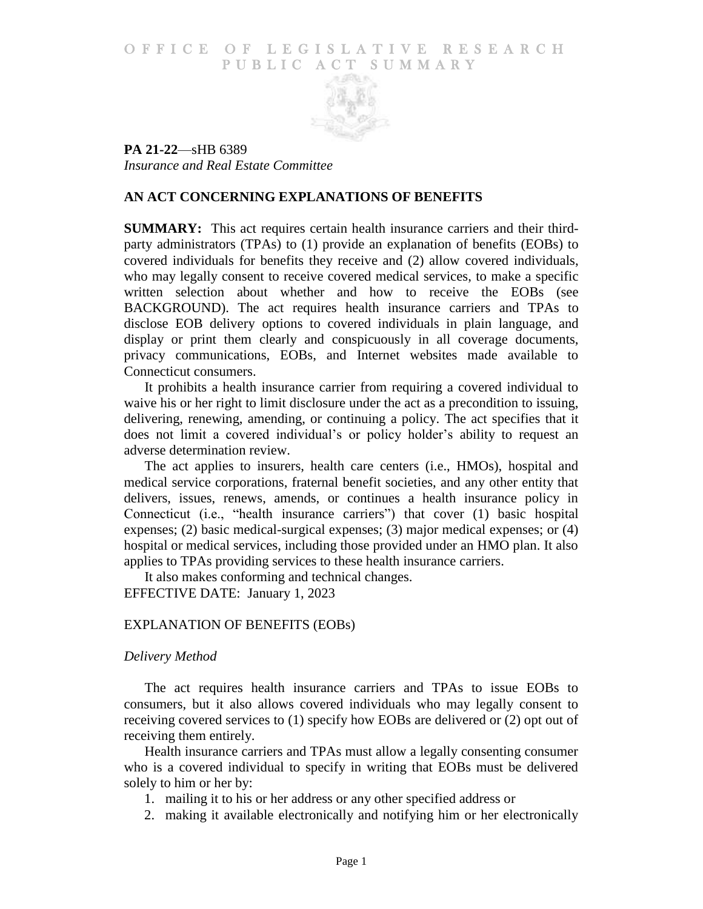#### O F FICE OF LEGISLATIVE RESEARCH PUBLIC ACT SUMMARY



**PA 21-22**—sHB 6389 *Insurance and Real Estate Committee*

#### **AN ACT CONCERNING EXPLANATIONS OF BENEFITS**

**SUMMARY:** This act requires certain health insurance carriers and their thirdparty administrators (TPAs) to (1) provide an explanation of benefits (EOBs) to covered individuals for benefits they receive and (2) allow covered individuals, who may legally consent to receive covered medical services, to make a specific written selection about whether and how to receive the EOBs (see BACKGROUND). The act requires health insurance carriers and TPAs to disclose EOB delivery options to covered individuals in plain language, and display or print them clearly and conspicuously in all coverage documents, privacy communications, EOBs, and Internet websites made available to Connecticut consumers.

It prohibits a health insurance carrier from requiring a covered individual to waive his or her right to limit disclosure under the act as a precondition to issuing, delivering, renewing, amending, or continuing a policy. The act specifies that it does not limit a covered individual's or policy holder's ability to request an adverse determination review.

The act applies to insurers, health care centers (i.e., HMOs), hospital and medical service corporations, fraternal benefit societies, and any other entity that delivers, issues, renews, amends, or continues a health insurance policy in Connecticut (i.e., "health insurance carriers") that cover (1) basic hospital expenses; (2) basic medical-surgical expenses; (3) major medical expenses; or (4) hospital or medical services, including those provided under an HMO plan. It also applies to TPAs providing services to these health insurance carriers.

It also makes conforming and technical changes.

EFFECTIVE DATE: January 1, 2023

## EXPLANATION OF BENEFITS (EOBs)

#### *Delivery Method*

The act requires health insurance carriers and TPAs to issue EOBs to consumers, but it also allows covered individuals who may legally consent to receiving covered services to (1) specify how EOBs are delivered or (2) opt out of receiving them entirely.

Health insurance carriers and TPAs must allow a legally consenting consumer who is a covered individual to specify in writing that EOBs must be delivered solely to him or her by:

- 1. mailing it to his or her address or any other specified address or
- 2. making it available electronically and notifying him or her electronically